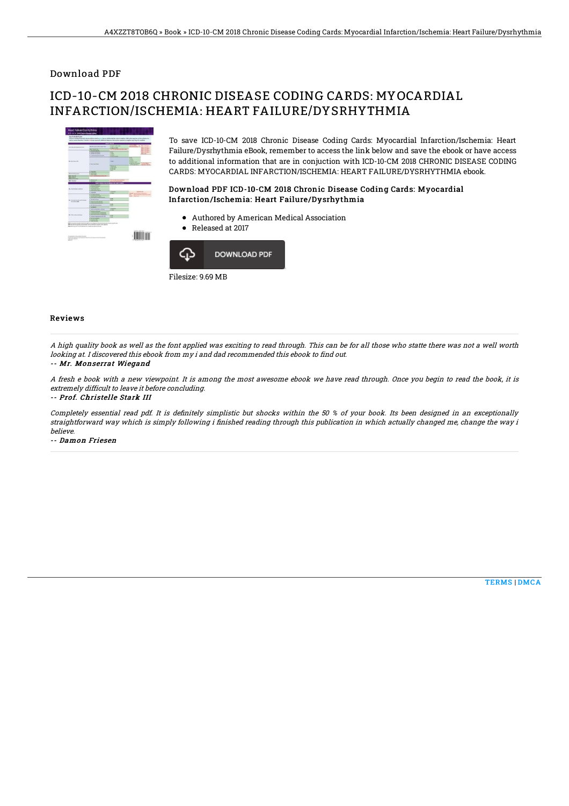## Download PDF

# ICD-10-CM 2018 CHRONIC DISEASE CODING CARDS: MYOCARDIAL INFARCTION/ISCHEMIA: HEART FAILURE/DYSRHYTHMIA



To save ICD-10-CM 2018 Chronic Disease Coding Cards: Myocardial Infarction/Ischemia: Heart Failure/Dysrhythmia eBook, remember to access the link below and save the ebook or have access to additional information that are in conjuction with ICD-10-CM 2018 CHRONIC DISEASE CODING CARDS: MYOCARDIAL INFARCTION/ISCHEMIA: HEART FAILURE/DYSRHYTHMIA ebook.

### Download PDF ICD-10-CM 2018 Chronic Disease Coding Cards: Myocardial Infarction/Ischemia: Heart Failure/Dysrhythmia

- Authored by American Medical Association
- Released at 2017



### Reviews

A high quality book as well as the font applied was exciting to read through. This can be for all those who statte there was not <sup>a</sup> well worth looking at. I discovered this ebook from my i and dad recommended this ebook to find out.

#### -- Mr. Monserrat Wiegand

A fresh <sup>e</sup> book with <sup>a</sup> new viewpoint. It is among the most awesome ebook we have read through. Once you begin to read the book, it is extremely difficult to leave it before concluding.

-- Prof. Christelle Stark III

Completely essential read pdf. It is definitely simplistic but shocks within the 50 % of your book. Its been designed in an exceptionally straightforward way which is simply following i finished reading through this publication in which actually changed me, change the way i believe.

-- Damon Friesen